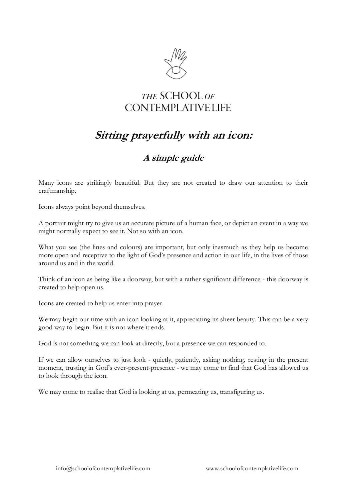

## THE SCHOOL OF **CONTEMPLATIVE LIFE**

## **Sitting prayerfully with an icon:**

## **A simple guide**

Many icons are strikingly beautiful. But they are not created to draw our attention to their craftmanship.

Icons always point beyond themselves.

A portrait might try to give us an accurate picture of a human face, or depict an event in a way we might normally expect to see it. Not so with an icon.

What you see (the lines and colours) are important, but only inasmuch as they help us become more open and receptive to the light of God's presence and action in our life, in the lives of those around us and in the world.

Think of an icon as being like a doorway, but with a rather significant difference - this doorway is created to help open us.

Icons are created to help us enter into prayer.

We may begin our time with an icon looking at it, appreciating its sheer beauty. This can be a very good way to begin. But it is not where it ends.

God is not something we can look at directly, but a presence we can responded to.

If we can allow ourselves to just look - quietly, patiently, asking nothing, resting in the present moment, trusting in God's ever-present-presence - we may come to find that God has allowed us to look through the icon.

We may come to realise that God is looking at us, permeating us, transfiguring us.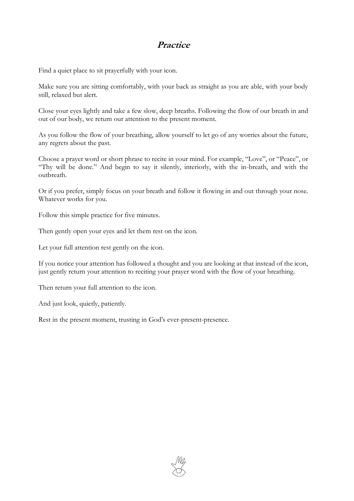## **Practice**

Find a quiet place to sit prayerfully with your icon.

Make sure you are sitting comfortably, with your back as straight as you are able, with your body still, relaxed but alert.

Close your eyes lightly and take a few slow, deep breaths. Following the flow of our breath in and out of our body, we return our attention to the present moment.

As you follow the flow of your breathing, allow yourself to let go of any worries about the future, any regrets about the past.

Choose a prayer word or short phrase to recite in your mind. For example, "Love", or "Peace", or "Thy will be done." And begin to say it silently, interiorly, with the in-breath, and with the outbreath.

Or if you prefer, simply focus on your breath and follow it flowing in and out through your nose. Whatever works for you.

Follow this simple practice for five minutes.

Then gently open your eyes and let them rest on the icon.

Let your full attention rest gently on the icon.

If you notice your attention has followed a thought and you are looking at that instead of the icon, just gently return your attention to reciting your prayer word with the flow of your breathing.

Then return your full attention to the icon.

And just look, quietly, patiently.

Rest in the present moment, trusting in God's ever-present-presence.